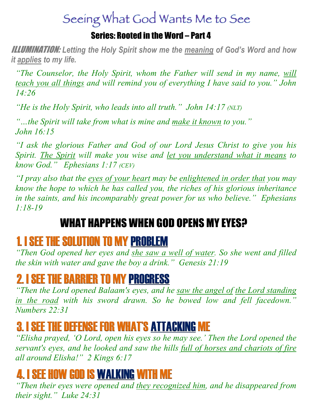# Seeing What God Wants Me to See

#### Series: Rooted in the Word – Part 4

ILLUMINATION: *Letting the Holy Spirit show me the meaning of God's Word and how it applies to my life.*

*"The Counselor, the Holy Spirit, whom the Father will send in my name, will teach you all things and will remind you of everything I have said to you." John 14:26* 

*"He is the Holy Spirit, who leads into all truth." John 14:17 (NLT)*

*"…the Spirit will take from what is mine and make it known to you." John 16:15*

*"I ask the glorious Father and God of our Lord Jesus Christ to give you his Spirit. The Spirit will make you wise and let you understand what it means to know God." Ephesians 1:17 (CEV)* 

*"I pray also that the eyes of your heart may be enlightened in order that you may know the hope to which he has called you, the riches of his glorious inheritance in the saints, and his incomparably great power for us who believe." Ephesians 1:18-19*

### WHAT HAPPENS WHEN GOD OPENS MY EYES?

#### 1. I SEE THE SOLUTION TO MY PROBLEM

*"Then God opened her eyes and she saw a well of water. So she went and filled the skin with water and gave the boy a drink." Genesis 21:19*

#### 2. I SEE THE BARRIER TO MY PROGRESS

*"Then the Lord opened Balaam's eyes, and he saw the angel of the Lord standing in the road with his sword drawn. So he bowed low and fell facedown." Numbers 22:31* 

## 3. I SEE THE DEFENSE FOR WHAT'S ATTACKING ME

*"Elisha prayed, 'O Lord, open his eyes so he may see.' Then the Lord opened the servant's eyes, and he looked and saw the hills full of horses and chariots of fire all around Elisha!" 2 Kings 6:17* 

#### 4. I SEE HOW GOD IS WALKING WITH ME

*"Then their eyes were opened and they recognized him, and he disappeared from their sight." Luke 24:31*